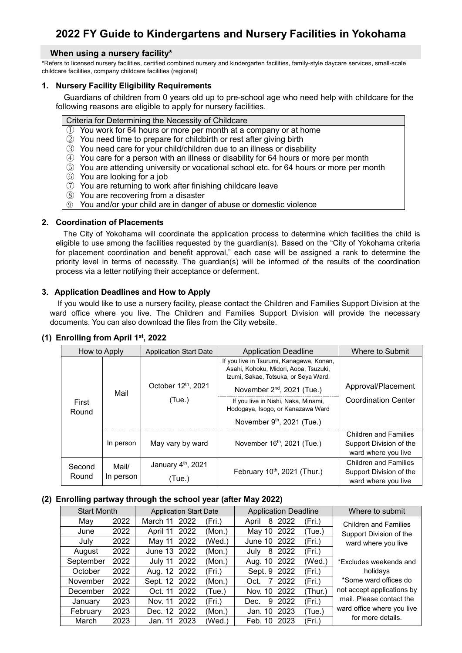# **2022 FY Guide to Kindergartens and Nursery Facilities in Yokohama**

## **When using a nursery facility\***

\*Refers to licensed nursery facilities, certified combined nursery and kindergarten facilities, family-style daycare services, small-scale childcare facilities, company childcare facilities (regional)

## **1. Nursery Facility Eligibility Requirements**

Guardians of children from 0 years old up to pre-school age who need help with childcare for the following reasons are eligible to apply for nursery facilities.

#### Criteria for Determining the Necessity of Childcare

- ① You work for 64 hours or more per month at a company or at home
- ② You need time to prepare for childbirth or rest after giving birth
- ③ You need care for your child/children due to an illness or disability
- ④ You care for a person with an illness or disability for 64 hours or more per month
- ⑤ You are attending university or vocational school etc. for 64 hours or more per month
- ⑥ You are looking for a job
- ⑦ You are returning to work after finishing childcare leave
- ⑧ You are recovering from a disaster
- ⑨ You and/or your child are in danger of abuse or domestic violence

#### **2. Coordination of Placements**

The City of Yokohama will coordinate the application process to determine which facilities the child is eligible to use among the facilities requested by the guardian(s). Based on the "City of Yokohama criteria for placement coordination and benefit approval," each case will be assigned a rank to determine the priority level in terms of necessity. The guardian(s) will be informed of the results of the coordination process via a letter notifying their acceptance or deferment.

## **3**.**Application Deadlines and How to Apply**

If you would like to use a nursery facility, please contact the Children and Families Support Division at the ward office where you live. The Children and Families Support Division will provide the necessary documents. You can also download the files from the City website.

| How to Apply    |                    | <b>Application Start Date</b> | <b>Application Deadline</b>                                                                                               | Where to Submit                                                                |
|-----------------|--------------------|-------------------------------|---------------------------------------------------------------------------------------------------------------------------|--------------------------------------------------------------------------------|
| First<br>Round  | Mail               |                               | If you live in Tsurumi, Kanagawa, Konan,<br>Asahi, Kohoku, Midori, Aoba, Tsuzuki,<br>Izumi, Sakae, Totsuka, or Seya Ward. |                                                                                |
|                 |                    | October 12th, 2021<br>(Tue.)  | November 2 <sup>nd</sup> , 2021 (Tue.)                                                                                    | Approval/Placement                                                             |
|                 |                    |                               | If you live in Nishi, Naka, Minami,<br>Hodogaya, Isogo, or Kanazawa Ward                                                  | <b>Coordination Center</b>                                                     |
|                 |                    |                               | November 9 <sup>th</sup> , 2021 (Tue.)                                                                                    |                                                                                |
|                 | In person          | May vary by ward              | November 16 <sup>th</sup> , 2021 (Tue.)                                                                                   | <b>Children and Families</b><br>Support Division of the<br>ward where you live |
| Second<br>Round | Mail/<br>In person | January 4th, 2021             |                                                                                                                           | <b>Children and Families</b>                                                   |
|                 |                    | (Tue.)                        | February 10 <sup>th</sup> , 2021 (Thur.)                                                                                  | Support Division of the<br>ward where you live                                 |

#### **(1) Enrolling from April 1st, 2022**

## **(2) Enrolling partway through the school year (after May 2022)**

| <b>Start Month</b> |      | <b>Application Start Date</b> |      | <b>Application Deadline</b> |                    | Where to submit |                              |
|--------------------|------|-------------------------------|------|-----------------------------|--------------------|-----------------|------------------------------|
| May                | 2022 | March 11                      | 2022 | (Fri.)                      | 2022<br>8<br>April | (Fri.)          | <b>Children and Families</b> |
| June               | 2022 | April 11 2022                 |      | (Mon.)                      | 2022<br>May 10     | (Tue.)          | Support Division of the      |
| July               | 2022 | May 11                        | 2022 | (Wed.)                      | 2022<br>June 10    | (Fri.)          | ward where you live          |
| August             | 2022 | June 13 2022                  |      | (Mon.)                      | 2022<br>8<br>Julv  | (Fri.)          |                              |
| September          | 2022 | July 11 2022                  |      | (Mon.)                      | 2022<br>Aug. 10    | (Wed.)          | *Fxcludes weekends and       |
| October            | 2022 | Aug. 12 2022                  |      | (Fri.)                      | Sept. 9<br>2022    | (Fri.)          | holidays                     |
| November           | 2022 | Sept. 12 2022                 |      | (Mon.)                      | 2022<br>7<br>Oct.  | (Fri.)          | *Some ward offices do        |
| December           | 2022 | Oct. 11                       | 2022 | (Tue.)                      | 2022<br>Nov. 10    | (Thur.)         | not accept applications by   |
| January            | 2023 | Nov. 11 2022                  |      | (Fri.)                      | 2022<br>9<br>Dec.  | (Fri.)          | mail. Please contact the     |
| February           | 2023 | Dec. 12 2022                  |      | (Mon.)                      | 2023<br>Jan. 10    | (Tue.)          | ward office where you live   |
| March              | 2023 | Jan. 11                       | 2023 | (Wed.)                      | 2023<br>Feb. 10    | (Fri.)          | for more details.            |